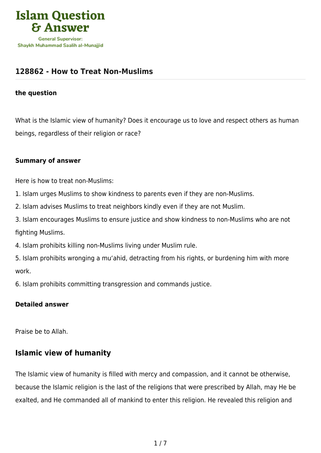

## **[128862 - How to Treat Non-Muslims](https://islamqa.com/en/answers/128862/how-to-treat-non-muslims)**

#### **the question**

What is the Islamic view of humanity? Does it encourage us to love and respect others as human beings, regardless of their religion or race?

#### **Summary of answer**

Here is how to treat non-Muslims:

1. Islam urges Muslims to show kindness to parents even if they are non-Muslims.

2. Islam advises Muslims to treat neighbors kindly even if they are not Muslim.

3. Islam encourages Muslims to ensure justice and show kindness to non-Muslims who are not fighting Muslims.

4. Islam prohibits killing non-Muslims living under Muslim rule.

5. Islam prohibits wronging a mu'ahid, detracting from his rights, or burdening him with more work.

6. Islam prohibits committing transgression and commands justice.

## **Detailed answer**

Praise be to Allah.

## **Islamic view of humanity**

The Islamic view of humanity is filled with mercy and compassion, and it cannot be otherwise, because the Islamic religion is the last of the religions that were prescribed by Allah, may He be exalted, and He commanded all of mankind to enter this religion. He revealed this religion and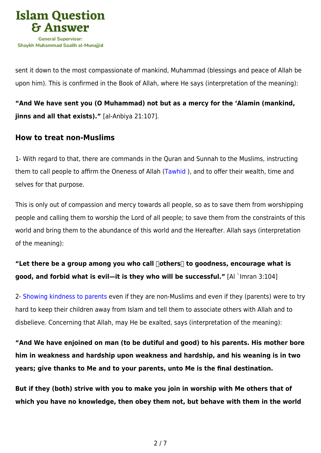

sent it down to the most compassionate of mankind, Muhammad (blessings and peace of Allah be upon him). This is confirmed in the Book of Allah, where He says (interpretation of the meaning):

**"And We have sent you (O Muhammad) not but as a mercy for the 'Alamin (mankind, jinns and all that exists)."** [al-Anbiya 21:107].

## **How to treat non-Muslims**

1- With regard to that, there are commands in the Quran and Sunnah to the Muslims, instructing them to call people to affirm the Oneness of Allah ([Tawhid](https://islamqa.com/en/answers/49030) ), and to offer their wealth, time and selves for that purpose.

This is only out of compassion and mercy towards all people, so as to save them from worshipping people and calling them to worship the Lord of all people; to save them from the constraints of this world and bring them to the abundance of this world and the Hereafter. Allah says (interpretation of the meaning):

# **"Let there be a group among you who call ˹others˺ to goodness, encourage what is good, and forbid what is evil—it is they who will be successful."** [Al `Imran 3:104]

2- [Showing kindness to parents](https://islamqa.com/en/answers/239930) even if they are non-Muslims and even if they (parents) were to try hard to keep their children away from Islam and tell them to associate others with Allah and to disbelieve. Concerning that Allah, may He be exalted, says (interpretation of the meaning):

**"And We have enjoined on man (to be dutiful and good) to his parents. His mother bore him in weakness and hardship upon weakness and hardship, and his weaning is in two years; give thanks to Me and to your parents, unto Me is the final destination.**

**But if they (both) strive with you to make you join in worship with Me others that of which you have no knowledge, then obey them not, but behave with them in the world**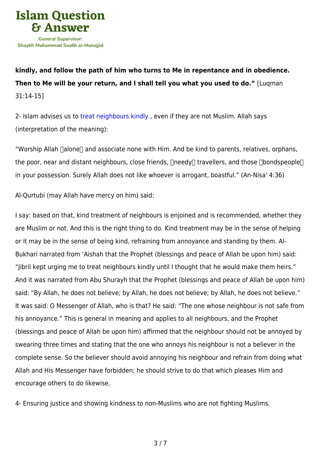

**kindly, and follow the path of him who turns to Me in repentance and in obedience. Then to Me will be your return, and I shall tell you what you used to do."** [Luqman 31:14-15]

2- Islam advises us to [treat neighbours kindly](https://islamqa.com/en/answers/109199), even if they are not Muslim. Allah says (interpretation of the meaning):

"Worship Allah nalone and associate none with Him. And be kind to parents, relatives, orphans, the poor, near and distant neighbours, close friends,  $\Box$ needy $\Box$  travellers, and those  $\Box$ bondspeople $\Box$ in your possession. Surely Allah does not like whoever is arrogant, boastful." (An-Nisa' 4:36)

Al-Qurtubi (may Allah have mercy on him) said:

I say: based on that, kind treatment of neighbours is enjoined and is recommended, whether they are Muslim or not. And this is the right thing to do. Kind treatment may be in the sense of helping or it may be in the sense of being kind, refraining from annoyance and standing by them. Al-Bukhari narrated from 'Aishah that the Prophet (blessings and peace of Allah be upon him) said: "Jibril kept urging me to treat neighbours kindly until I thought that he would make them heirs." And it was narrated from Abu Shurayh that the Prophet (blessings and peace of Allah be upon him) said: "By Allah, he does not believe; by Allah, he does not believe; by Allah, he does not believe." It was said: O Messenger of Allah, who is that? He said: "The one whose neighbour is not safe from his annoyance." This is general in meaning and applies to all neighbours, and the Prophet (blessings and peace of Allah be upon him) affirmed that the neighbour should not be annoyed by swearing three times and stating that the one who annoys his neighbour is not a believer in the complete sense. So the believer should avoid annoying his neighbour and refrain from doing what Allah and His Messenger have forbidden; he should strive to do that which pleases Him and encourage others to do likewise.

4- Ensuring justice and showing kindness to non-Muslims who are not fighting Muslims.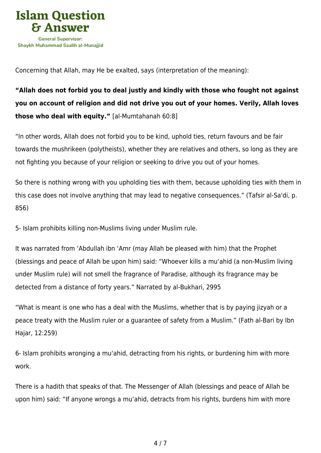

Concerning that Allah, may He be exalted, says (interpretation of the meaning):

**"Allah does not forbid you to deal justly and kindly with those who fought not against you on account of religion and did not drive you out of your homes. Verily, Allah loves those who deal with equity."** [al-Mumtahanah 60:8]

"In other words, Allah does not forbid you to be kind, uphold ties, return favours and be fair towards the mushrikeen (polytheists), whether they are relatives and others, so long as they are not fighting you because of your religion or seeking to drive you out of your homes.

So there is nothing wrong with you upholding ties with them, because upholding ties with them in this case does not involve anything that may lead to negative consequences." (Tafsir al-Sa'di, p. 856)

5- Islam prohibits killing non-Muslims living under Muslim rule.

It was narrated from 'Abdullah ibn 'Amr (may Allah be pleased with him) that the Prophet (blessings and peace of Allah be upon him) said: "Whoever kills a mu'ahid (a non-Muslim living under Muslim rule) will not smell the fragrance of Paradise, although its fragrance may be detected from a distance of forty years." Narrated by al-Bukhari, 2995

"What is meant is one who has a deal with the Muslims, whether that is by paying jizyah or a peace treaty with the Muslim ruler or a guarantee of safety from a Muslim." (Fath al-Bari by Ibn Hajar, 12:259)

6- Islam prohibits wronging a mu'ahid, detracting from his rights, or burdening him with more work.

There is a hadith that speaks of that. The Messenger of Allah (blessings and peace of Allah be upon him) said: "If anyone wrongs a mu'ahid, detracts from his rights, burdens him with more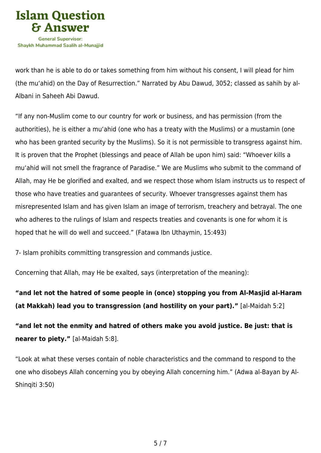

work than he is able to do or takes something from him without his consent, I will plead for him (the mu'ahid) on the Day of Resurrection." Narrated by Abu Dawud, 3052; classed as sahih by al-Albani in Saheeh Abi Dawud.

"If any non-Muslim come to our country for work or business, and has permission (from the authorities), he is either a mu'ahid (one who has a treaty with the Muslims) or a mustamin (one who has been granted security by the Muslims). So it is not permissible to transgress against him. It is proven that the Prophet (blessings and peace of Allah be upon him) said: "Whoever kills a mu'ahid will not smell the fragrance of Paradise." We are Muslims who submit to the command of Allah, may He be glorified and exalted, and we respect those whom Islam instructs us to respect of those who have treaties and guarantees of security. Whoever transgresses against them has misrepresented Islam and has given Islam an image of terrorism, treachery and betrayal. The one who adheres to the rulings of Islam and respects treaties and covenants is one for whom it is hoped that he will do well and succeed." (Fatawa Ibn Uthaymin, 15:493)

7- Islam prohibits committing transgression and commands justice.

Concerning that Allah, may He be exalted, says (interpretation of the meaning):

**"and let not the hatred of some people in (once) stopping you from Al-Masjid al-Haram (at Makkah) lead you to transgression (and hostility on your part)."** [al-Maidah 5:2]

**"and let not the enmity and hatred of others make you avoid justice. Be just: that is nearer to piety."** [al-Maidah 5:8].

"Look at what these verses contain of noble characteristics and the command to respond to the one who disobeys Allah concerning you by obeying Allah concerning him." (Adwa al-Bayan by Al-Shinqiti 3:50)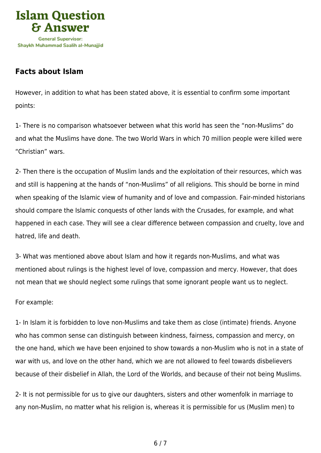

# **Facts about Islam**

However, in addition to what has been stated above, it is essential to confirm some important points:

1- There is no comparison whatsoever between what this world has seen the "non-Muslims" do and what the Muslims have done. The two World Wars in which 70 million people were killed were "Christian" wars.

2- Then there is the occupation of Muslim lands and the exploitation of their resources, which was and still is happening at the hands of "non-Muslims" of all religions. This should be borne in mind when speaking of the Islamic view of humanity and of love and compassion. Fair-minded historians should compare the Islamic conquests of other lands with the Crusades, for example, and what happened in each case. They will see a clear difference between compassion and cruelty, love and hatred, life and death.

3- What was mentioned above about Islam and how it regards non-Muslims, and what was mentioned about rulings is the highest level of love, compassion and mercy. However, that does not mean that we should neglect some rulings that some ignorant people want us to neglect.

For example:

1- In Islam it is forbidden to love non-Muslims and take them as close (intimate) friends. Anyone who has common sense can distinguish between kindness, fairness, compassion and mercy, on the one hand, which we have been enjoined to show towards a non-Muslim who is not in a state of war with us, and love on the other hand, which we are not allowed to feel towards disbelievers because of their disbelief in Allah, the Lord of the Worlds, and because of their not being Muslims.

2- It is not permissible for us to give our daughters, sisters and other womenfolk in marriage to any non-Muslim, no matter what his religion is, whereas it is permissible for us (Muslim men) to